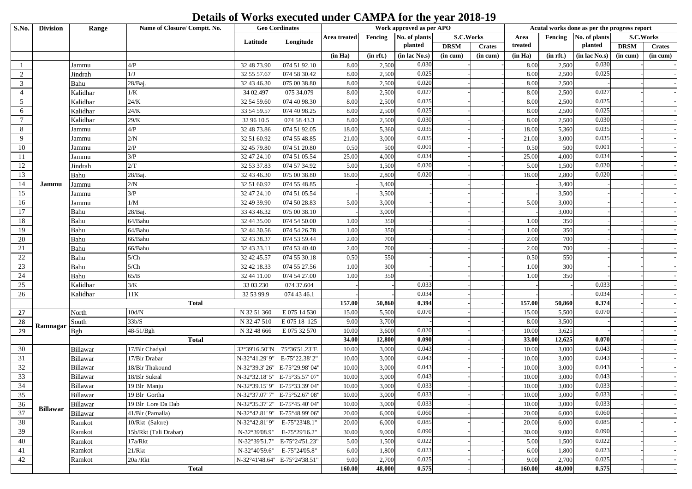## **Details of Works executed under CAMPA for the year 2018-19**

| S.No.           | <b>Division</b> | Range                | Name of Closure/ Comptt. No.     |                                 | <b>Geo Cordinates</b>                                              | Work approved as per APO |                |                |             |               | Acutal works done as per the progress report |                       |                |             |               |
|-----------------|-----------------|----------------------|----------------------------------|---------------------------------|--------------------------------------------------------------------|--------------------------|----------------|----------------|-------------|---------------|----------------------------------------------|-----------------------|----------------|-------------|---------------|
|                 | Latitude        |                      |                                  |                                 | Area treated                                                       | Fencing                  | No. of plants  | S.C.Works      |             | Area          |                                              | Fencing No. of plants |                | S.C.Works   |               |
|                 |                 |                      |                                  |                                 | Longitude                                                          |                          |                | planted        | <b>DRSM</b> | <b>Crates</b> | treated                                      |                       | planted        | <b>DRSM</b> | <b>Crates</b> |
|                 |                 |                      |                                  |                                 |                                                                    | (in Ha)                  | (in rft.)      | (in lac No.s)  | (in cum)    | (in cum)      | (in Ha)                                      | (in rft.)             | (in lac No.s)  | (in cum)    | (in cum)      |
|                 |                 | Jammu                | 4/P                              | 32 48 73.90                     | 074 51 92.10                                                       | 8.00                     | 2,500          | 0.030          |             |               | 8.00                                         | 2,500                 | 0.030          |             |               |
| $\overline{c}$  |                 | Jindrah              | 1/J                              | 32 55 57.67                     | 074 58 30.42                                                       | 8.00                     | 2,500          | 0.025          |             |               | 8.00                                         | 2,500                 | 0.025          |             |               |
| $\mathfrak{Z}$  |                 | Bahu                 | 28/Baj.                          | 32 43 46.30                     | 075 00 38.80                                                       | 8.00                     | 2,500          | 0.020          |             |               | 8.00                                         | 2,500                 |                |             |               |
| $\overline{4}$  |                 | Kalidhar             | 1/K                              | 34 02.497                       | 075 34.079                                                         | 8.00                     | 2,500          | 0.027          |             |               | 8.00                                         | 2,500                 | 0.027          |             |               |
| $5\overline{)}$ |                 | Kalidhar             | $24/K$                           | 32 54 59.60                     | 074 40 98.30                                                       | 8.00                     | 2,500          | 0.025          |             |               | 8.00                                         | 2,500                 | 0.025          |             |               |
| 6               |                 | Kalidhar             | 24/K                             | 33 54 59.57                     | 074 40 98.25                                                       | 8.00                     | 2,500          | 0.025          |             |               | 8.00                                         | 2,500                 | 0.025          |             |               |
| $7\phantom{.0}$ |                 | Kalidhar             | $29/K$                           | 32 96 10.5                      | 074 58 43.3                                                        | 8.00                     | 2,500          | 0.030          |             |               | 8.00                                         | 2,500                 | 0.030          |             |               |
| 8               |                 | Jammu                | 4/P                              | 32 48 73.86                     | 074 51 92.05                                                       | 18.00                    | 5,360          | 0.035          |             |               | 18.00                                        | 5,360                 | 0.035          |             |               |
| 9               |                 | Jammu                | 2/N                              | 32 51 60.92                     | 074 55 48.85                                                       | 21.00                    | 3,000          | 0.035          |             |               | 21.00                                        | 3,000                 | 0.035          |             |               |
| $10\,$          |                 | Jammu                | 2/P                              | 32 45 79.80                     | 074 51 20.80                                                       | 0.50                     | 500            | 0.001          |             |               | 0.50                                         | 500                   | 0.001          |             |               |
| 11              |                 | Jammu                | 3/P                              | 32 47 24.10                     | 074 51 05.54                                                       | 25.00                    | 4,000          | 0.034          |             |               | 25.00                                        | 4,000                 | 0.034          |             |               |
| 12              |                 | Jindrah              | 2/T                              | 32 53 37.83                     | 074 57 34.92                                                       | 5.00                     | 1,500          | 0.020          |             |               | 5.00                                         | 1,500                 | 0.020          |             |               |
| 13              |                 | Bahu                 | 28/Baj                           | 32 43 46.30                     | 075 00 38.80                                                       | 18.00                    | 2,800          | 0.020          |             |               | 18.00                                        | 2,800                 | 0.020          |             |               |
| 14              | Jammu           | Jammu                | $2/N$                            | 32 51 60.92                     | 074 55 48.85                                                       |                          | 3,400          |                |             |               |                                              | 3,400                 |                |             |               |
| 15              |                 | Jammu                | 3/P                              | 32 47 24.10                     | 074 51 05.54                                                       |                          | 3,500          |                |             |               |                                              | 3,500                 |                |             |               |
| 16              |                 | Jammu                | $1/\mathbf{M}$                   | 32 49 39.90                     | 074 50 28.83                                                       | 5.00                     | 3,000          |                |             |               | 5.00                                         | 3,000                 |                |             |               |
| 17              |                 | Bahu                 | 28/Baj.                          | 33 43 46.32                     | 075 00 38.10                                                       |                          | 3,000          |                |             |               |                                              | 3,000                 |                |             |               |
| 18              |                 | Bahu                 | 64/Bahu                          | 32 44 35.00                     | 074 54 50.00                                                       | 1.00                     | 350            |                |             |               | 1.00                                         | 350                   |                |             |               |
| 19              |                 | Bahu                 | 64/Bahu                          | 32 44 30.56                     | 074 54 26.78                                                       | 1.00                     | 350            |                |             |               | 1.00                                         | 350                   |                |             |               |
| 20              |                 | Bahu                 | 66/Bahu                          | 32 43 38.37                     | 074 53 59.44                                                       | 2.00                     | 700            |                |             |               | 2.00                                         | 700                   |                |             |               |
| 21              |                 | Bahu                 | 66/Bahu                          | 32 43 33.11                     | 074 53 40.40                                                       | 2.00                     | 700            |                |             |               | 2.00                                         | 700                   |                |             |               |
| 22              |                 | Bahu                 | 5/Ch                             | 32 42 45.57                     | 074 55 30.18                                                       | 0.50                     | 550            |                |             |               | 0.50                                         | 550                   |                |             |               |
| 23              |                 | Bahu                 | 5/Ch                             | 32 42 18.33                     | 074 55 27.56                                                       | 1.00                     | 300            |                |             |               | 1.00                                         | 300                   |                |             |               |
| $24\,$          |                 | Bahu                 | 65/B                             | 32 44 11.00                     | 074 54 27.00                                                       | 1.00                     | 350            |                |             |               | 1.00                                         | 350                   |                |             |               |
| 25              |                 | Kalidhar             | 3/K                              | 33 03.230                       | 074 37.604                                                         |                          |                | 0.033          |             |               |                                              |                       | 0.033          |             |               |
| 26              |                 | Kalidhar             | $11\mathrm{K}$                   | 32 53 99.9                      | 074 43 46.1                                                        |                          |                | 0.034          |             |               |                                              |                       | 0.034          |             |               |
|                 |                 |                      | <b>Total</b>                     |                                 |                                                                    | 157.00                   | 50,860         | 0.394          |             |               | 157.00                                       | 50,860                | 0.374          |             |               |
| 27              |                 | North                | $10 \mathrm{d/N}$                | N 32 51 360                     | E 075 14 530                                                       | 15.00                    | 5,500          | 0.070          |             |               | 15.00                                        | 5,500                 | 0.070          |             |               |
| 28              | Ramnagar        | South                | 33b/S                            | N 32 47 510                     | E 075 18 125                                                       | 9.00                     | 3,700          |                |             |               | 8.00                                         | 3,500                 |                |             |               |
| $\overline{29}$ |                 | <b>Bgh</b>           | 48-51/Bgh                        | N 32 48 666                     | E 075 32 570                                                       | 10.00                    | 3,600          | 0.020          |             |               | 10.00                                        | 3,625                 |                |             |               |
|                 |                 |                      | <b>Total</b>                     |                                 |                                                                    | 34.00                    | 12,800         | 0.090          |             |               | 33.00                                        | 12,625                | 0.070          |             |               |
| 30              |                 | Billawar             | 17/Blr Chadyal                   | 32°39'16.50"N<br>N-32°41.29' 9" | 75°36'51.23"E<br>E-75°22.38'2"                                     | 10.00                    | 3,000<br>3,000 | 0.043<br>0.043 |             |               | 10.00                                        | 3,000<br>3,000        | 0.043<br>0.043 |             |               |
| 31              |                 | Billawar             | 17/Blr Drabar                    |                                 |                                                                    | 10.00                    |                |                |             |               | 10.00                                        |                       |                |             |               |
| 32<br>33        |                 | Billawar             | 18/Blr Thakound<br>18/Blr Sukral | N-32°39.3' 26"                  | E-75°29.98'04"<br>N-32°32.18' 5" E-75°35.57' 07"                   | 10.00<br>10.00           | 3,000<br>3,000 | 0.043<br>0.043 |             |               | 10.00<br>10.00                               | 3,000<br>3,000        | 0.043<br>0.043 |             |               |
| 34              |                 | Billawar             |                                  |                                 |                                                                    |                          |                | 0.033          |             |               |                                              | 3,000                 | 0.033          |             |               |
|                 |                 | Billawar<br>Billawar | 19 Blr Manju<br>19 Blr Gortha    |                                 | N-32°39.15' 9"   E-75°33.39' 04"<br>N-32°37.07' 7" E-75°52.67' 08" | 10.00<br>10.00           | 3,000<br>3,000 | 0.033          |             |               | 10.00<br>10.00                               | 3,000                 | 0.033          |             |               |
| 35<br>36        |                 | Billawar             | 19 Blr Lore Da Dab               |                                 | N-32°35.37' 2" E-75°45.40' 04"                                     | 10.00                    | 3,000          | 0.033          |             |               | 10.00                                        | 3,000                 | 0.033          |             |               |
| 37              | <b>Billawar</b> | Billawar             | 41/Blr (Parnalla)                |                                 | N-32°42.81'9" E-75°48.99'06"                                       | 20.00                    | 6,000          | 0.060          |             |               | 20.00                                        | 6,000                 | 0.060          |             |               |
| 38              |                 | Ramkot               | 10/Rkt (Salore)                  | N-32°42.81'9"                   | E-75°23'48.1"                                                      | 20.00                    | 6,000          | 0.085          |             |               | 20.00                                        | 6,000                 | 0.085          |             |               |
| 39              |                 | Ramkot               | 15b/Rkt (Tali Drabar)            | N-32°39'08.9"                   | E-75°29'16.2"                                                      | 30.00                    | 9,000          | 0.090          |             |               | 30.00                                        | 9,000                 | 0.090          |             |               |
| 40              |                 |                      | 17a/Rkt                          | N-32°39'51.7"                   | E-75°24'51.23"                                                     | 5.00                     | 1,500          | 0.022          |             |               | 5.00                                         | 1,500                 | 0.022          |             |               |
| 41              |                 | Ramkot<br>Ramkot     | 21/Rkt                           | N-32°40'59.6"                   | E-75°24'05.8"                                                      | 6.00                     | 1,800          | 0.023          |             |               | 6.00                                         | 1,800                 | 0.023          |             |               |
| 42              |                 | Ramkot               | 20a/Rkt                          |                                 | N-32°41'48.64" E-75°24'38.51"                                      | 9.00                     | 2,700          | 0.025          |             |               | 9.00                                         | 2,700                 | 0.025          |             |               |
|                 |                 |                      | <b>Total</b>                     |                                 |                                                                    | 160.00                   | 48,000         | 0.575          |             |               | 160.00                                       | 48,000                | 0.575          |             |               |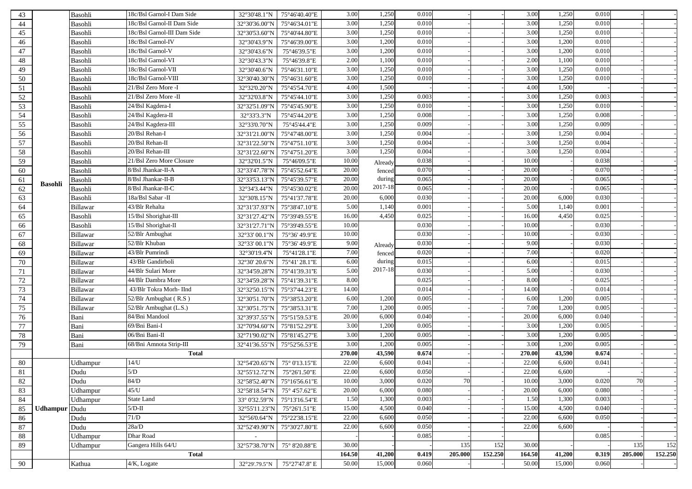| 43     |                      | Basohli  | 18c/Bsl Garnol-I Dam Side   | 32°30'48.1"N                                          | 75°46'40.40"E | 3.00   | 1,250   | 0.010 |         |         | 3.00   | 1,250  | 0.010 |         |         |
|--------|----------------------|----------|-----------------------------|-------------------------------------------------------|---------------|--------|---------|-------|---------|---------|--------|--------|-------|---------|---------|
| 44     |                      | Basohli  | 18c/Bsl Garnol-II Dam Side  | 32°30'36.00"N                                         | 75°46'34.01"E | 3.00   | 1,250   | 0.010 |         |         | 3.00   | 1,250  | 0.010 |         |         |
| 45     |                      | Basohli  | 18c/Bsl Garnol-III Dam Side | 32°30'53.60"N                                         | 75°40'44.80"E | 3.00   | 1,250   | 0.010 |         |         | 3.00   | 1,250  | 0.010 |         |         |
| 46     |                      | Basohli  | 18c/Bsl Garnol-IV           | 32°30'43.9"N                                          | 75°46'39.00"E | 3.00   | 1,200   | 0.010 |         |         | 3.00   | 1,200  | 0.010 |         |         |
| 47     |                      | Basohli  | 18c/Bsl Garnol-V            | 32°30'43.6"N                                          | 75°46'39.5"E  | 3.00   | 1,200   | 0.010 |         |         | 3.00   | 1,200  | 0.010 |         |         |
| 48     |                      | Basohli  | 18c/Bsl Garnol-VI           | 32°30'43.3"N                                          | 75°46'39.8"E  | 2.00   | 1,100   | 0.010 |         |         | 2.00   | 1,100  | 0.010 |         |         |
| 49     |                      | Basohli  | 18c/Bsl Garnol-VII          | 32°30'40.6"N                                          | 75°46'31.10"E | 3.00   | 1,250   | 0.010 |         |         | 3.00   | 1,250  | 0.010 |         |         |
| 50     |                      | Basohli  | 18c/Bsl Garnol-VIII         | 32°30'40.30"N                                         | 75°46'31.60"E | 3.00   | 1,250   | 0.010 |         |         | 3.00   | 1,250  | 0.010 |         |         |
| 51     |                      | Basohli  | 21/Bsl Zero More -I         | 32°32'0.20"N                                          | 75°45'54.70"E | 4.00   | 1,500   |       |         |         | 4.00   | 1,500  |       |         |         |
| 52     |                      | Basohli  | 21/Bsl Zero More -II        | 32°32'03.8"N                                          | 75°45'44.10"E | 3.00   | 1,250   | 0.003 |         |         | 3.00   | 1,250  | 0.003 |         |         |
| 53     |                      | Basohli  | 24/Bsl Kagdera-I            | 32°32'51.09"N                                         | 75°45'45.90"E | 3.00   | 1,250   | 0.010 |         |         | 3.00   | 1,250  | 0.010 |         |         |
| 54     |                      | Basohli  | 24/Bsl Kagdera-II           | 32°33'3.3"N                                           | 75°45'44.20"E | 3.00   | 1,250   | 0.008 |         |         | 3.00   | 1,250  | 0.008 |         |         |
| 55     |                      | Basohli  | 24/Bsl Kagdera-III          | 32°33'0.70"N                                          | 75°45'44.4"E  | 3.00   | 1,250   | 0.009 |         |         | 3.00   | 1,250  | 0.009 |         |         |
| 56     |                      | Basohli  | 20/Bsl Rehan-I              | 32°31'21.00"N                                         | 75°47'48.00"E | 3.00   | 1,250   | 0.004 |         |         | 3.00   | 1,250  | 0.004 |         |         |
| 57     |                      | Basohli  | 20/Bsl Rehan-II             | 32°31'22.50"N                                         | 75°47'51.10"E | 3.00   | 1,250   | 0.004 |         |         | 3.00   | 1,250  | 0.004 |         |         |
| 58     |                      | Basohli  | 20/Bsl Rehan-III            | 32°31'22.60"N                                         | 75°47'51.20"E | 3.00   | 1,250   | 0.004 |         |         | 3.00   | 1,250  | 0.004 |         |         |
| 59     |                      | Basohli  | 21/Bsl Zero More Closure    | 32°32'01.5"N                                          | 75°46'09.5"E  | 10.00  | Already | 0.038 |         |         | 10.00  |        | 0.038 |         |         |
| 60     |                      | Basohli  | 8/Bsl Jhankar-II-A          | 32°33'47.78"N                                         | 75°45'52.64"E | 20.00  | fenced  | 0.070 |         |         | 20.00  |        | 0.070 |         |         |
| 61     |                      | Basohli  | 8/Bsl Jhankar-II-B          | 32°33'53.13"N                                         | 75°45'39.57"E | 20.00  | during  | 0.065 |         |         | 20.00  |        | 0.065 |         |         |
| 62     | <b>Basohli</b>       | Basohli  | 8/Bsl Jhankar-II-C          | 32°34'3.44"N                                          | 75°45'30.02"E | 20.00  | 2017-18 | 0.065 |         |         | 20.00  |        | 0.065 |         |         |
| 63     |                      | Basohli  | 18a/Bsl Sabar - II          | 32°30'8.15"N                                          | 75°41'37.78"E | 20.00  | 6,000   | 0.030 |         |         | 20.00  | 6,000  | 0.030 |         |         |
| 64     |                      | Billawar | 43/Blr Rehalta              | 32°31'37.93"N                                         | 75°38'47.10"E | 5.00   | 1,140   | 0.001 |         |         | 5.00   | 1,140  | 0.001 |         |         |
| 65     |                      | Basohli  | 15/Bsl Shorighat-III        | 32°31'27.42"N                                         | 75°39'49.55"E | 16.00  | 4,450   | 0.025 |         |         | 16.00  | 4,450  | 0.025 |         |         |
| 66     |                      | Basohli  | 15/Bsl Shorighat-II         | 32°31'27.71"N                                         | 75°39'49.55"E | 10.00  |         | 0.030 |         |         | 10.00  |        | 0.030 |         |         |
| 67     |                      | Billawar | 52/Blr Ambughat             | 32°33' 00.1"N                                         | 75°36' 49.9"E | 10.00  |         | 0.030 |         |         | 10.00  |        | 0.030 |         |         |
| 68     |                      | Billawar | 52/Blr Khuban               | 32°33′ 00.1"N                                         | 75°36' 49.9"E | 9.00   | Already | 0.030 |         |         | 9.00   |        | 0.03C |         |         |
| 69     |                      | Billawar | 43/Blr Pumrindi             | 32°30'19.4"N                                          | 75°41'28.1"E  | 7.00   | fenced  | 0.020 |         |         | 7.00   |        | 0.020 |         |         |
| 70     |                      | Billawar | 43/Blr Gandirboli           | 32°30' 20.6"N                                         | 75°41′28.1″E  | 6.00   | during  | 0.015 |         |         | 6.00   |        | 0.015 |         |         |
| 71     |                      | Billawar | 44/Blr Sulari More          | 32°34'59.28"N                                         | 75°41'39.31"E | 5.00   | 2017-18 | 0.030 |         |         | 5.00   |        | 0.030 |         |         |
| $72\,$ |                      | Billawar | 44/Blr Dambra More          | 32°34'59.28"N                                         | 75°41'39.31"E | 8.00   |         | 0.025 |         |         | 8.00   |        | 0.025 |         |         |
| 73     |                      | Billawar | 43/Blr Tokra Morh- IInd     | 32°32'50.15"N                                         | 75°37'44.23"E | 14.00  |         | 0.014 |         |         | 14.00  |        | 0.014 |         |         |
| 74     |                      | Billawar | 52/Blr Ambughat (R.S)       | 32°30'51.70"N                                         | 75°38'53.20"E | 6.00   | 1,200   | 0.005 |         |         | 6.00   | 1,200  | 0.005 |         |         |
| 75     |                      | Billawar | 52/Blr Ambughat (L.S.)      | $32^{\circ}30^{\prime}51.75^{\prime\prime}\mathrm{N}$ | 75°38'53.31"E | 7.00   | 1,200   | 0.005 |         |         | 7.00   | 1,200  | 0.005 |         |         |
| 76     |                      | Bani     | 84/Bni Mandool              | 32°39'37.55"N                                         | 75°51'59.53"E | 20.00  | 6,000   | 0.040 |         |         | 20.00  | 6,000  | 0.040 |         |         |
| 77     |                      | Bani     | 69/Bni Bani-I               | 32°70'94.60"N                                         | 75°81'52.29"E | 3.00   | 1,200   | 0.005 |         |         | 3.00   | 1,200  | 0.005 |         |         |
| 78     |                      | Bani     | 06/Bni Bani-II              | 32°71'90.02"N                                         | 75°81'45.27"E | 3.00   | 1,200   | 0.005 |         |         | 3.00   | 1,200  | 0.005 |         |         |
| 79     |                      | Bani     | 68/Bni Amnota Strip-III     | 32°41'36.55"N                                         | 75°52'56.53"E | 3.00   | 1,200   | 0.005 |         |         | 3.00   | 1,200  | 0.005 |         |         |
|        |                      |          | <b>Total</b>                |                                                       |               | 270.00 | 43,590  | 0.674 |         |         | 270.00 | 43,590 | 0.674 |         |         |
| 80     |                      | Udhampur | 14/U                        | 32°54'20.65"N                                         | 75° 0'13.15"E | 22.00  | 6,600   | 0.041 |         |         | 22.00  | 6,600  | 0.041 |         |         |
| 81     |                      | Dudu     | 5/D                         | 32°55'12.72"N                                         | 75°26'1.50"E  | 22.00  | 6,600   | 0.050 |         |         | 22.00  | 6,600  |       |         |         |
| 82     |                      | Dudu     | 84/D                        | 32°58'52.40"N                                         | 75°16'56.61"E | 10.00  | 3,000   | 0.020 | 70      |         | 10.00  | 3,000  | 0.020 | 70      |         |
| 83     |                      | Udhampur | 45/U                        | 32°58'18.54"N                                         | 75° 4'57.62"E | 20.00  | 6,000   | 0.080 |         |         | 20.00  | 6,000  | 0.080 |         |         |
| 84     |                      | Udhampur | State Land                  | 33° 0'32.59"N                                         | 75°13'16.54"E | 1.50   | 1,300   | 0.003 |         |         | 1.50   | 1,300  | 0.003 |         |         |
| 85     | <b>Udhampur</b> Dudu |          | $5/D-II$                    | 32°55'11.23"N                                         | 75°26′1.51″E  | 15.00  | 4,500   | 0.040 |         |         | 15.00  | 4,500  | 0.040 |         |         |
| 86     |                      | Dudu     | 71/D                        | 32°56'0.64"N                                          | 75°22'38.15"E | 22.00  | 6,600   | 0.050 |         |         | 22.00  | 6,600  | 0.050 |         |         |
| 87     |                      | Dudu     | 28a/D                       | 32°52'49.90"N                                         | 75°30'27.80"E | 22.00  | 6,600   | 0.050 |         |         | 22.00  | 6,600  |       |         |         |
| 88     |                      | Udhampur | <b>Dhar Road</b>            |                                                       |               |        |         | 0.085 |         |         |        |        | 0.085 |         |         |
| 89     |                      | Udhampur | Gangera Hills 64/U          | 32°57'38.70"N                                         | 75° 8'20.88"E | 30.00  |         |       | 135     | 152     | 30.00  |        |       | 135     | 152     |
|        |                      |          | <b>Total</b>                |                                                       |               | 164.50 | 41,200  | 0.419 | 205.000 | 152.250 | 164.50 | 41,200 | 0.319 | 205.000 | 152.250 |
| 90     |                      | Kathua   | 4/K, Logate                 | 32°29'.79.5"N                                         | 75°27'47.8" E | 50.00  | 15,000  | 0.060 |         |         | 50.00  | 15,000 | 0.060 |         |         |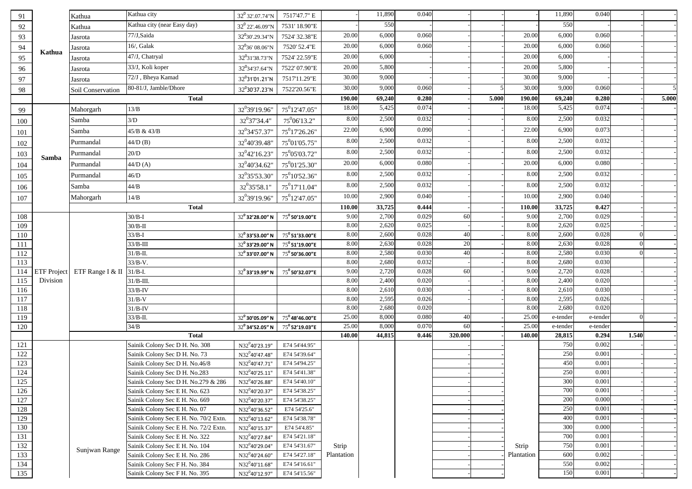| 91         |                                | Kathua            | Kathua city                           | $32^0$ 32'.07.74"N                                   | 7517'47.7" E               |              | 11,890         | 0.040          |         |       |              | 11,890         | 0.040          |       |       |
|------------|--------------------------------|-------------------|---------------------------------------|------------------------------------------------------|----------------------------|--------------|----------------|----------------|---------|-------|--------------|----------------|----------------|-------|-------|
| 92         |                                | Kathua            | Kathua city (near Easy day)           | 32 <sup>0</sup> 22'.46.09"N                          | 7531' 18.90"E              |              | 550            |                |         |       |              | 550            |                |       |       |
| 93         |                                | Jasrota           | 77/J,Saida                            | 32°30'.29.34"N                                       | 7524' 32.38"E              | 20.00        | 6,000          | 0.060          |         |       | 20.00        | 6,000          | 0.060          |       |       |
| 94         |                                | Jasrota           | 16/, Galak                            | $32^0$ 36' 08.06"N                                   | 7520' 52.4"E               | 20.00        | 6,000          | 0.060          |         |       | 20.00        | 6,000          | 0.060          |       |       |
| 95         | Kathua                         | Jasrota           | 47/J, Chatryal                        | 32 <sup>0</sup> 31'38.73"N                           | 7524' 22.59"E              | 20.00        | 6,000          |                |         |       | 20.00        | 6,000          |                |       |       |
| 96         |                                | Jasrota           | 33/J, Koli koper                      | 32°34'37.64"N                                        | 7522'07.90"E               | 20.00        | 5,800          |                |         |       | 20.00        | 5,800          |                |       |       |
| 97         |                                | Jasrota           | 72/J, Bheya Kamad                     | 32°31'01.21"N                                        | 7517'11.29"E               | 30.00        | 9,000          |                |         |       | 30.00        | 9,000          |                |       |       |
| 98         |                                | Soil Conservation | 80-81/J, Jamble/Dhore                 | 32°30'37.23"N                                        | 7522'20.56"E               | 30.00        | 9,000          | 0.060          |         |       | 30.00        | 9,000          | 0.060          |       |       |
|            |                                |                   | <b>Total</b>                          |                                                      |                            | 190.00       | 69,240         | 0.280          |         | 5.000 | 190.00       | 69,240         | 0.280          |       | 5.000 |
| 99         |                                | Mahorgarh         | $13/B$                                | 32 <sup>0</sup> 39'19.96"                            | 75°12'47.05"               | 18.00        | 5,425          | 0.074          |         |       | 18.00        | 5,425          | 0.074          |       |       |
| 100        |                                | Samba             | 3/D                                   | 32 <sup>0</sup> 37'34.4"                             | $75^0$ 06'13.2"            | 8.00         | 2,500          | 0.032          |         |       | 8.00         | 2,500          | 0.032          |       |       |
|            |                                | Samba             | 45/B & 43/B                           | 32 <sup>0</sup> 34'57.37'                            | $75^0$ 17'26.26"           | 22.00        | 6,900          | 0.090          |         |       | 22.00        | 6,900          | 0.073          |       |       |
| 101        |                                | Purmandal         |                                       |                                                      |                            | 8.00         | 2,500          | 0.032          |         |       | 8.00         | 2,500          | 0.032          |       |       |
| $102\,$    |                                |                   | 44/D (B)                              | 32 <sup>0</sup> 40'39.48"                            | 75 <sup>0</sup> 01'05.75"  | 8.00         | 2,500          | 0.032          |         |       | 8.00         | 2,500          | 0.032          |       |       |
| 103        | Samba                          | Purmandal         | 20/D                                  | $32^{0}42'16.23'$                                    | 75 <sup>0</sup> 05'03.72"  | 20.00        | 6,000          | 0.080          |         |       | 20.00        | 6,000          | 0.080          |       |       |
| 104        |                                | Purmandal         | 44/D(A)                               | 32 <sup>0</sup> 40'34.62'                            | 75 <sup>0</sup> 01'25.30"  |              |                |                |         |       |              |                |                |       |       |
| 105        |                                | Purmandal         | 46/D                                  | 32 <sup>0</sup> 35'53.30"                            | 75 <sup>0</sup> 10'52.36"  | 8.00         | 2,500          | 0.032          |         |       | 8.00         | 2,500          | 0.032          |       |       |
| 106        |                                | Samba             | $32^0$ 35'58.1'<br>44/B               |                                                      | $75^0$ 17'11.04"           | 8.00         | 2,500          | 0.032          |         |       | 8.00         | 2,500          | 0.032          |       |       |
| $107\,$    |                                | Mahorgarh         | 14/B                                  | 32 <sup>0</sup> 39'19.96'                            | $75^012'47.05''$           | 10.00        | 2,900          | 0.040          |         |       | 10.00        | 2,900          | 0.040          |       |       |
|            |                                |                   | <b>Total</b>                          |                                                      |                            | 110.00       | 33,725         | 0.444          |         |       | 110.00       | 33,725         | 0.427          |       |       |
| 108        |                                |                   | $30/B-I$                              | 32° 32' 28.00" N                                     | $75^{\rm o}$ 50'19.00"E    | 9.00         | 2,700          | 0.029          | 60      |       | 9.00         | 2,700          | 0.029          |       |       |
| 109        |                                |                   | $30/B-II$                             |                                                      |                            | 8.00         | 2,620          | 0.025          |         |       | 8.00         | 2,620          | 0.025          |       |       |
| 110        |                                |                   | $33/B-I$                              | 32° 33' 53.00" N                                     | $75^{\rm o}$ 51'33.00"E    | 8.00         | 2,600          | 0.028          | 40      |       | 8.00         | 2,600          | 0.028          |       |       |
| 111        |                                |                   | $33/B-III$                            | 32 <sup>0</sup> 33'29.00" N                          | 75 <sup>0</sup> 51'19.00"E | 8.00         | 2,630          | 0.028          | 20      |       | 8.00         | 2,630          | 0.028          |       |       |
| 112        |                                |                   | $31/B-II.$                            | 32 <sup>0</sup> 33'07.00" N                          | $75^{\rm o}$ 50'36.00"E    | 8.00         | 2,580          | 0.030          | 40      |       | 8.00         | 2,580          | 0.030          |       |       |
| 113        |                                |                   | $33/B-V.$                             |                                                      |                            | 8.00<br>9.00 | 2,680<br>2,720 | 0.032<br>0.028 | 60      |       | 8.00<br>9.00 | 2,680<br>2,720 | 0.030<br>0.028 |       |       |
| 114<br>115 | <b>ETF</b> Project<br>Division | ETF Range I & II  | $31/B-I.$<br>$31/B-III.$              | 32° 33'19.99" N                                      | $75^{\rm o}$ 50'32.07"E    | 8.00         | 2,400          | 0.020          |         |       | 8.00         | 2,400          | 0.020          |       |       |
|            |                                |                   |                                       |                                                      |                            | 8.00         | 2,610          | 0.030          |         |       | 8.00         | 2,610          | 0.030          |       |       |
| 116<br>117 |                                |                   | 33/B-IV<br>$31/B-V$                   |                                                      |                            | 8.00         | 2,595          | 0.026          |         |       | 8.00         | 2,595          | 0.026          |       |       |
| 118        |                                |                   | $31/B-IV$                             |                                                      |                            | 8.00         | 2,680          | 0.020          |         |       | 8.00         | 2,680          | 0.020          |       |       |
| 119        |                                |                   | $33/B-II.$                            | 32° 30'05.09" N                                      | $75^{\text{o}}$ 48'46.00"E | 25.00        | 8,000          | 0.080          | 40      |       | 25.00        | e-tender       | e-tender       |       |       |
| 120        |                                |                   | 34/B                                  | $32^{\rm o}$ 34'52.05" N                             | $75^{\rm o}$ 52'19.03"E    | 25.00        | 8,000          | 0.070          | 60      |       | 25.00        | e-tender       | e-tender       |       |       |
|            |                                |                   | <b>Total</b>                          |                                                      |                            | 140.00       | 44,815         | 0.446          | 320.000 |       | 140.00       | 28,815         | 0.294          | 1.540 |       |
| 121        |                                |                   | Sainik Colony Sec D H. No. 308        | N32 <sup>0</sup> 40'23.19"                           | E74 54'44.95"              |              |                |                |         |       |              | 750            | 0.002          |       |       |
| 122        |                                |                   | Sainik Colony Sec D H. No. 73         | N32 <sup>0</sup> 40'47.48"                           | E74 54'39.64"              |              |                |                |         |       |              | 250            | 0.001          |       |       |
| 123        |                                |                   | Sainik Colony Sec D H. No.46/8        | N32 <sup>0</sup> 40'47.71'                           | E74 54'94.25"              |              |                |                |         |       |              | 450            | 0.001          |       |       |
| 124        |                                |                   | Sainik Colony Sec D H. No.283         | N32 <sup>0</sup> 40'25.11"                           | E74 54'41.38"              |              |                |                |         |       |              | 250            | 0.001          |       |       |
| 125        |                                |                   | Sainik Colony Sec D H. No.279 & 286   | N32°40'26.88"                                        | E74 54'40.10"              |              |                |                |         |       |              | 300            | 0.001          |       |       |
| 126        |                                |                   | Sainik Colony Sec E H. No. 623        | N32 <sup>0</sup> 40'20.37"                           | E74 54'38.25"              |              |                |                |         |       |              | 700            | 0.001          |       |       |
| $127\,$    |                                |                   | Sainik Colony Sec E H. No. 669        | N32 <sup>0</sup> 40'20.37"                           | E74 54'38.25"              |              |                |                |         |       |              | 200            | 0.000          |       |       |
| 128        |                                |                   | Sainik Colony Sec E H. No. 07         | $\text{N}32^{\text{0}}40^{\text{1}}36.52^{\text{1}}$ | E74 54'25.6"               |              |                |                |         |       |              | 250            | 0.001          |       |       |
| 129        |                                |                   | Sainik Colony Sec E H. No. 70/2 Extn. | N32 <sup>0</sup> 40'13.62"                           | E74 54'38.78"              |              |                |                |         |       |              | 400            | 0.001          |       |       |
| 130        |                                |                   | Sainik Colony Sec E H. No. 72/2 Extn. | N32 <sup>0</sup> 40'15.37"                           | E74 54'4.85"               |              |                |                |         |       |              | 300            | 0.000          |       |       |
| 131        |                                |                   | Sainik Colony Sec E H. No. 322        | N32 <sup>0</sup> 40'27.84"                           | E74 54'21.18"              |              |                |                |         |       |              | 700            | 0.001          |       |       |
| 132        |                                | Sunjwan Range     | Sainik Colony Sec E H. No. 104        | N32 <sup>0</sup> 40'29.04"                           | E74 54'31.67"              | Strip        |                |                |         |       | Strip        | 750            | 0.001          |       |       |
| 133        |                                |                   | Sainik Colony Sec E H. No. 286        | N32 <sup>0</sup> 40'24.60"                           | E74 54'27.18"              | Plantation   |                |                |         |       | Plantation   | 600            | 0.002          |       |       |
| 134        |                                |                   | Sainik Colony Sec F H. No. 384        | $N32^0$ 40'11.68"                                    | E74 54'16.61"              |              |                |                |         |       |              | 550            | 0.002          |       |       |
| 135        |                                |                   | Sainik Colony Sec F H. No. 395        | N32 <sup>0</sup> 40'12.97"                           | E74 54'15.56"              |              |                |                |         |       |              | 150            | 0.001          |       |       |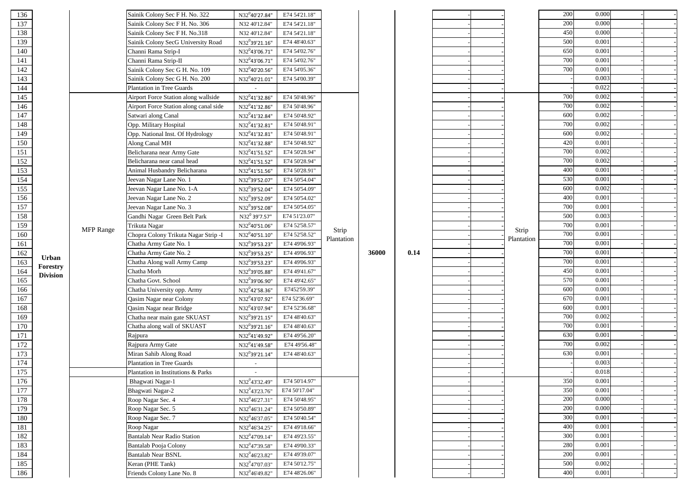| 136 |                 |                  | Sainik Colony Sec F H. No. 322         | N32 <sup>0</sup> 40'27.84"                 | E74 54'21.18" |                     |       |      |  |                     | 200 | 0.000 |  |
|-----|-----------------|------------------|----------------------------------------|--------------------------------------------|---------------|---------------------|-------|------|--|---------------------|-----|-------|--|
| 137 |                 |                  | Sainik Colony Sec F H. No. 306         | N32 40'12.84"                              | E74 54'21.18" |                     |       |      |  |                     | 200 | 0.000 |  |
| 138 |                 |                  | Sainik Colony Sec F H. No.318          | N32 40'12.84"                              | E74 54'21.18" |                     |       |      |  |                     | 450 | 0.000 |  |
| 139 |                 |                  | Sainik Colony SecG University Road     | N32°39'21.16"                              | E74 48'40.63" |                     |       |      |  |                     | 500 | 0.001 |  |
| 140 |                 |                  | Channi Rama Strip-I                    | $\rm N32^043'06.71''$                      | E74 54'02.76" |                     |       |      |  |                     | 650 | 0.001 |  |
| 141 |                 |                  | Channi Rama Strip-II                   | N32 <sup>0</sup> 43'06.71"                 | E74 54'02.76" |                     |       |      |  |                     | 700 | 0.001 |  |
| 142 |                 |                  | Sainik Colony Sec G H. No. 109         | N32 <sup>0</sup> 40'20.56"                 | E74 54'05.36" |                     |       |      |  |                     | 700 | 0.001 |  |
| 143 |                 |                  | Sainik Colony Sec G H. No. 200         | $\rm N32^040'21.01''$                      | E74 54'00.39" |                     |       |      |  |                     |     | 0.003 |  |
| 144 |                 |                  | Plantation in Tree Guards              |                                            |               |                     |       |      |  |                     |     | 0.022 |  |
| 145 |                 |                  | Airport Force Station along wallside   | $N32^041'32.86"$                           | E74 50'48.96" |                     |       |      |  |                     | 700 | 0.002 |  |
| 146 |                 |                  | Airport Force Station along canal side | N32 <sup>0</sup> 41'32.86"                 | E74 50'48.96" |                     |       |      |  |                     | 700 | 0.002 |  |
| 147 |                 |                  | Satwari along Canal                    | N32 <sup>0</sup> 41'32.84"                 | E74 50'48.92" |                     |       |      |  |                     | 600 | 0.002 |  |
| 148 |                 |                  | Opp. Military Hospital                 | N32 <sup>0</sup> 41'32.81"                 | E74 50'48.91" |                     |       |      |  |                     | 700 | 0.002 |  |
| 149 |                 |                  | Opp. National Inst. Of Hydrology       | N32 <sup>0</sup> 41'32.81"                 | E74 50'48.91" |                     |       |      |  |                     | 600 | 0.002 |  |
| 150 |                 |                  | Along Canal MH                         | N32 <sup>0</sup> 41'32.88"                 | E74 50'48.92" |                     |       |      |  |                     | 420 | 0.001 |  |
| 151 |                 |                  | Belicharana near Army Gate             | $\rm N32^041'51.52''$                      | E74 50'28.94" |                     |       |      |  |                     | 700 | 0.002 |  |
| 152 |                 |                  | Belicharana near canal head            | N32 <sup>0</sup> 41'51.52"                 | E74 50'28.94" |                     |       |      |  |                     | 700 | 0.002 |  |
| 153 |                 |                  | Animal Husbandry Belicharana           | N32 <sup>0</sup> 41'51.56"                 | E74 50'28.91" |                     |       |      |  |                     | 400 | 0.001 |  |
| 154 |                 |                  | Jeevan Nagar Lane No. 1                | N32 <sup>0</sup> 39'52.07"                 | E74 50'54.04" |                     |       |      |  |                     | 530 | 0.001 |  |
| 155 |                 |                  | Jeevan Nagar Lane No. 1-A              | N32°39'52.04"                              | E74 50'54.09" |                     |       |      |  |                     | 600 | 0.002 |  |
| 156 |                 |                  | Jeevan Nagar Lane No. 2                | N32°39'52.09"                              | E74 50'54.02" |                     |       |      |  |                     | 400 | 0.001 |  |
| 157 |                 |                  | Jeevan Nagar Lane No. 3                | N32°39'52.08"                              | E74 50'54.05" |                     |       |      |  |                     | 700 | 0.001 |  |
| 158 |                 |                  | Gandhi Nagar Green Belt Park           | $N32^0$ 39'7.57"                           | E74 51'23.07" | Strip<br>Plantation |       |      |  | Strip<br>Plantation | 500 | 0.003 |  |
| 159 |                 |                  | Trikuta Nagar                          | N32°40'51.06"                              | E74 52'58.57" |                     |       |      |  |                     | 700 | 0.001 |  |
| 160 |                 | <b>MFP</b> Range | Chopra Colony Trikuta Nagar Strip -I   | N32 <sup>0</sup> 40'51.10"                 | E74 52'58.52" |                     |       |      |  |                     | 700 | 0.001 |  |
| 161 |                 |                  | Chatha Army Gate No. 1                 | N32°39'53.23"                              | E74 49'06.93" |                     |       |      |  |                     | 700 | 0.001 |  |
| 162 |                 |                  | Chatha Army Gate No. 2                 | $N32^0$ 39'53.25"                          | E74 49'06.93" |                     | 36000 | 0.14 |  |                     | 700 | 0.001 |  |
| 163 | Urban           |                  | Chatha Along wall Army Camp            | N32°39'53.23"                              | E74 49'06.93" |                     |       |      |  |                     | 700 | 0.001 |  |
| 164 | Forestry        |                  | Chatha Morh                            | N32°39'05.88"                              | E74 49'41.67" |                     |       |      |  |                     | 450 | 0.001 |  |
| 165 | <b>Division</b> |                  | Chatha Govt. School                    | N32°39'06.90"                              | E74 49'42.65" |                     |       |      |  |                     | 570 | 0.001 |  |
| 166 |                 |                  | Chatha University opp. Army            | N32 <sup>0</sup> 42'58.36"                 | E7452'59.39"  |                     |       |      |  |                     | 600 | 0.001 |  |
| 167 |                 |                  | Qasim Nagar near Colony                | N32°43'07.92"                              | E74 52'36.69" |                     |       |      |  |                     | 670 | 0.001 |  |
| 168 |                 |                  | Qasim Nagar near Bridge                | N32 <sup>0</sup> 43'07.94"                 | E74 52'36.68" |                     |       |      |  |                     | 600 | 0.001 |  |
| 169 |                 |                  | Chatha near main gate SKUAST           | N32°39'21.15"                              | E74 48'40.63" |                     |       |      |  |                     | 700 | 0.002 |  |
| 170 |                 |                  | Chatha along wall of SKUAST            | $\rm N32^039'21.16''$                      | E74 48'40.63" |                     |       |      |  |                     | 700 | 0.001 |  |
| 171 |                 |                  | Rajpura                                | N32 <sup>0</sup> 41'49.92"                 | E74 49'56.20" |                     |       |      |  |                     | 630 | 0.001 |  |
| 172 |                 |                  | Rajpura Army Gate                      | N32 <sup>0</sup> 41'49.58"                 | E74 49'56.48" |                     |       |      |  |                     | 700 | 0.002 |  |
| 173 |                 |                  | Miran Sahib Along Road                 | N32°39'21.14"                              | E74 48'40.63" |                     |       |      |  |                     | 630 | 0.001 |  |
| 174 |                 |                  | <b>Plantation in Tree Guards</b>       |                                            |               |                     |       |      |  |                     |     | 0.003 |  |
| 175 |                 |                  | Plantation in Institutions & Parks     |                                            |               |                     |       |      |  |                     |     | 0.018 |  |
| 176 |                 |                  | Bhagwati Nagar-1                       | N32 <sup>0</sup> 43'32.49"                 | E74 50'14.97" |                     |       |      |  |                     | 350 | 0.001 |  |
| 177 |                 |                  | Bhagwati Nagar-2                       | N32 <sup>0</sup> 43'23.76"                 | E74 50'17.04" |                     |       |      |  |                     | 350 | 0.001 |  |
| 178 |                 |                  | Roop Nagar Sec. 4                      | N32 <sup>0</sup> 46'27.31"                 | E74 50'48.95" |                     |       |      |  |                     | 200 | 0.000 |  |
| 179 |                 |                  | Roop Nagar Sec. 5                      | N32 <sup>0</sup> 46'31.24"                 | E74 50'50.89" |                     |       |      |  |                     | 200 | 0.000 |  |
| 180 |                 |                  | Roop Nagar Sec. 7                      | N32 <sup>0</sup> 46'37.05"                 | E74 50'40.54" |                     |       |      |  |                     | 300 | 0.001 |  |
| 181 |                 |                  | Roop Nagar                             | N32 <sup>0</sup> 46'34.25"                 | E74 49'18.66" |                     |       |      |  |                     | 400 | 0.001 |  |
| 182 |                 |                  | <b>Bantalab Near Radio Station</b>     | N32 <sup>0</sup> 47'09.14"                 | E74 49'23.55" |                     |       |      |  |                     | 300 | 0.001 |  |
| 183 |                 |                  | Bantalab Pooja Colony                  | $\rm N32^047^{\prime}39.58^{\prime\prime}$ | E74 49'00.33" |                     |       |      |  |                     | 280 | 0.001 |  |
| 184 |                 |                  | <b>Bantalab Near BSNL</b>              | $N32^046'23.82"$                           | E74 49'39.07" |                     |       |      |  |                     | 200 | 0.001 |  |
| 185 |                 |                  | Keran (PHE Tank)                       | N32 <sup>0</sup> 47'07.03"                 | E74 50'12.75" |                     |       |      |  |                     | 500 | 0.002 |  |
| 186 |                 |                  | Friends Colony Lane No. 8              | N32 <sup>0</sup> 46'49.82"                 | E74 48'26.06" |                     |       |      |  |                     | 400 | 0.001 |  |
|     |                 |                  |                                        |                                            |               |                     |       |      |  |                     |     |       |  |